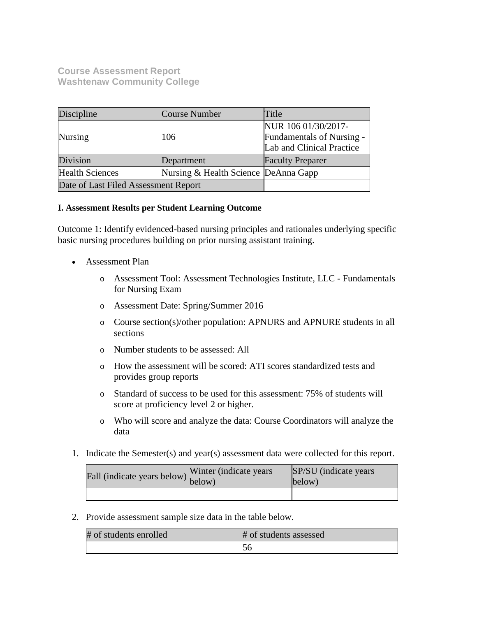**Course Assessment Report Washtenaw Community College**

| Discipline                           | Course Number                        | Title                                            |
|--------------------------------------|--------------------------------------|--------------------------------------------------|
| <b>Nursing</b>                       | 106                                  | NUR 106 01/30/2017-<br>Fundamentals of Nursing - |
|                                      |                                      | Lab and Clinical Practice                        |
| Division                             | Department                           | <b>Faculty Preparer</b>                          |
| <b>Health Sciences</b>               | Nursing & Health Science DeAnna Gapp |                                                  |
| Date of Last Filed Assessment Report |                                      |                                                  |

#### **I. Assessment Results per Student Learning Outcome**

Outcome 1: Identify evidenced-based nursing principles and rationales underlying specific basic nursing procedures building on prior nursing assistant training.

- Assessment Plan
	- o Assessment Tool: Assessment Technologies Institute, LLC Fundamentals for Nursing Exam
	- o Assessment Date: Spring/Summer 2016
	- o Course section(s)/other population: APNURS and APNURE students in all sections
	- o Number students to be assessed: All
	- o How the assessment will be scored: ATI scores standardized tests and provides group reports
	- o Standard of success to be used for this assessment: 75% of students will score at proficiency level 2 or higher.
	- o Who will score and analyze the data: Course Coordinators will analyze the data
- 1. Indicate the Semester(s) and year(s) assessment data were collected for this report.

| Fall (indicate years below) below) | Winter (indicate years) | SP/SU (indicate years)<br>below) |
|------------------------------------|-------------------------|----------------------------------|
|                                    |                         |                                  |

2. Provide assessment sample size data in the table below.

| # of students enrolled | # of students assessed |
|------------------------|------------------------|
|                        |                        |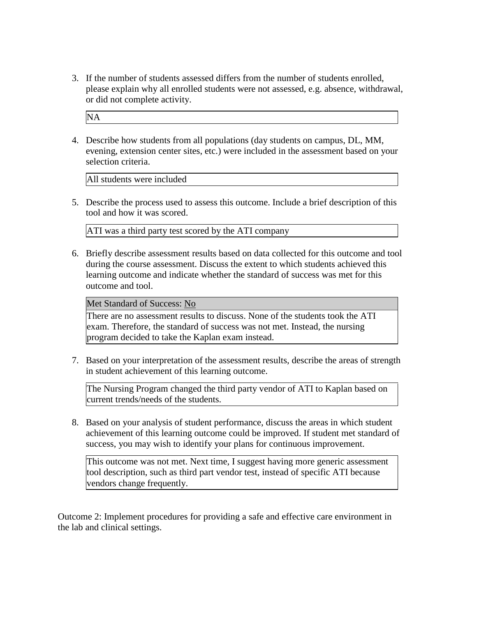3. If the number of students assessed differs from the number of students enrolled, please explain why all enrolled students were not assessed, e.g. absence, withdrawal, or did not complete activity.

NA

4. Describe how students from all populations (day students on campus, DL, MM, evening, extension center sites, etc.) were included in the assessment based on your selection criteria.

All students were included

5. Describe the process used to assess this outcome. Include a brief description of this tool and how it was scored.

ATI was a third party test scored by the ATI company

6. Briefly describe assessment results based on data collected for this outcome and tool during the course assessment. Discuss the extent to which students achieved this learning outcome and indicate whether the standard of success was met for this outcome and tool.

# Met Standard of Success: No

There are no assessment results to discuss. None of the students took the ATI exam. Therefore, the standard of success was not met. Instead, the nursing program decided to take the Kaplan exam instead.

7. Based on your interpretation of the assessment results, describe the areas of strength in student achievement of this learning outcome.

The Nursing Program changed the third party vendor of ATI to Kaplan based on current trends/needs of the students.

8. Based on your analysis of student performance, discuss the areas in which student achievement of this learning outcome could be improved. If student met standard of success, you may wish to identify your plans for continuous improvement.

This outcome was not met. Next time, I suggest having more generic assessment tool description, such as third part vendor test, instead of specific ATI because vendors change frequently.

Outcome 2: Implement procedures for providing a safe and effective care environment in the lab and clinical settings.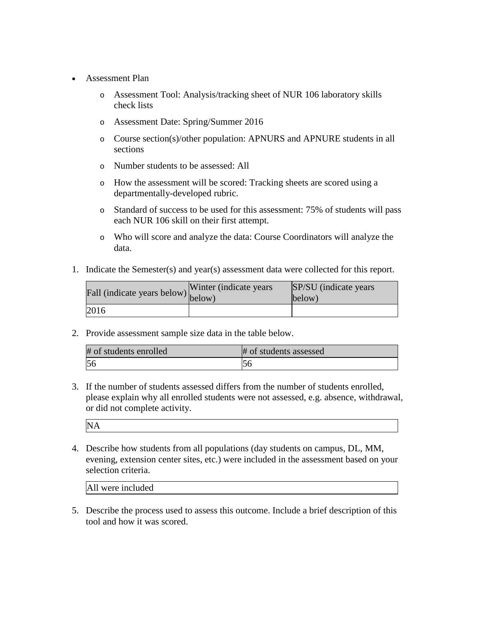- Assessment Plan
	- o Assessment Tool: Analysis/tracking sheet of NUR 106 laboratory skills check lists
	- o Assessment Date: Spring/Summer 2016
	- o Course section(s)/other population: APNURS and APNURE students in all sections
	- o Number students to be assessed: All
	- o How the assessment will be scored: Tracking sheets are scored using a departmentally-developed rubric.
	- o Standard of success to be used for this assessment: 75% of students will pass each NUR 106 skill on their first attempt.
	- o Who will score and analyze the data: Course Coordinators will analyze the data.
- 1. Indicate the Semester(s) and year(s) assessment data were collected for this report.

| Fall (indicate years below) below) | Winter (indicate years) | SP/SU (indicate years)<br>below) |
|------------------------------------|-------------------------|----------------------------------|
| 2016                               |                         |                                  |

2. Provide assessment sample size data in the table below.

| # of students enrolled | # of students assessed |
|------------------------|------------------------|
| 56                     | IJC.                   |

3. If the number of students assessed differs from the number of students enrolled, please explain why all enrolled students were not assessed, e.g. absence, withdrawal, or did not complete activity.

NA

4. Describe how students from all populations (day students on campus, DL, MM, evening, extension center sites, etc.) were included in the assessment based on your selection criteria.

| All were included |  |  |
|-------------------|--|--|
|                   |  |  |

5. Describe the process used to assess this outcome. Include a brief description of this tool and how it was scored.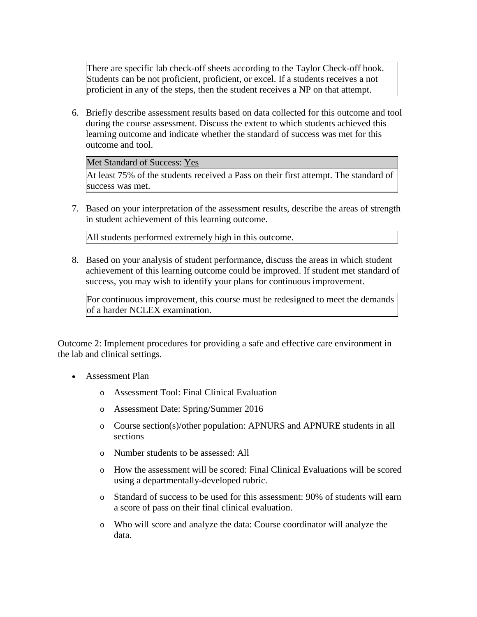There are specific lab check-off sheets according to the Taylor Check-off book. Students can be not proficient, proficient, or excel. If a students receives a not proficient in any of the steps, then the student receives a NP on that attempt.

6. Briefly describe assessment results based on data collected for this outcome and tool during the course assessment. Discuss the extent to which students achieved this learning outcome and indicate whether the standard of success was met for this outcome and tool.

Met Standard of Success: Yes

At least 75% of the students received a Pass on their first attempt. The standard of success was met.

7. Based on your interpretation of the assessment results, describe the areas of strength in student achievement of this learning outcome.

All students performed extremely high in this outcome.

8. Based on your analysis of student performance, discuss the areas in which student achievement of this learning outcome could be improved. If student met standard of success, you may wish to identify your plans for continuous improvement.

For continuous improvement, this course must be redesigned to meet the demands of a harder NCLEX examination.

Outcome 2: Implement procedures for providing a safe and effective care environment in the lab and clinical settings.

- Assessment Plan
	- o Assessment Tool: Final Clinical Evaluation
	- o Assessment Date: Spring/Summer 2016
	- o Course section(s)/other population: APNURS and APNURE students in all sections
	- o Number students to be assessed: All
	- o How the assessment will be scored: Final Clinical Evaluations will be scored using a departmentally-developed rubric.
	- o Standard of success to be used for this assessment: 90% of students will earn a score of pass on their final clinical evaluation.
	- o Who will score and analyze the data: Course coordinator will analyze the data.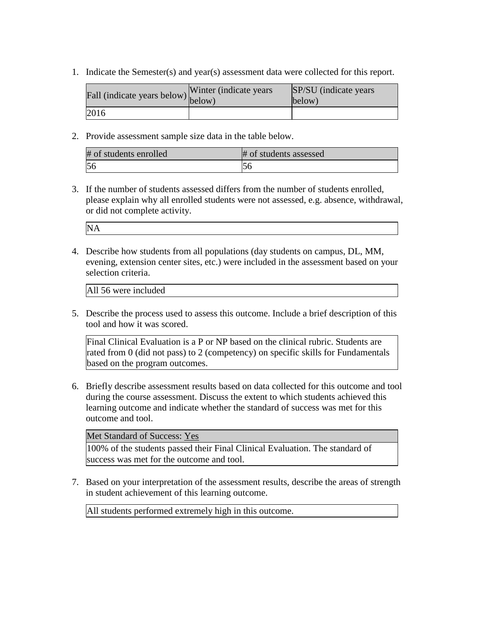1. Indicate the Semester(s) and year(s) assessment data were collected for this report.

| Fall (indicate years below) below) | Winter (indicate years) | SP/SU (indicate years)<br>below) |
|------------------------------------|-------------------------|----------------------------------|
| 2016                               |                         |                                  |

2. Provide assessment sample size data in the table below.

| # of students enrolled | # of students assessed |
|------------------------|------------------------|
| 56                     |                        |

3. If the number of students assessed differs from the number of students enrolled, please explain why all enrolled students were not assessed, e.g. absence, withdrawal, or did not complete activity.

| N. |  |  |
|----|--|--|
|    |  |  |
|    |  |  |
|    |  |  |
|    |  |  |

4. Describe how students from all populations (day students on campus, DL, MM, evening, extension center sites, etc.) were included in the assessment based on your selection criteria.

All 56 were included

5. Describe the process used to assess this outcome. Include a brief description of this tool and how it was scored.

Final Clinical Evaluation is a P or NP based on the clinical rubric. Students are rated from 0 (did not pass) to 2 (competency) on specific skills for Fundamentals based on the program outcomes.

6. Briefly describe assessment results based on data collected for this outcome and tool during the course assessment. Discuss the extent to which students achieved this learning outcome and indicate whether the standard of success was met for this outcome and tool.

Met Standard of Success: Yes

100% of the students passed their Final Clinical Evaluation. The standard of success was met for the outcome and tool.

7. Based on your interpretation of the assessment results, describe the areas of strength in student achievement of this learning outcome.

All students performed extremely high in this outcome.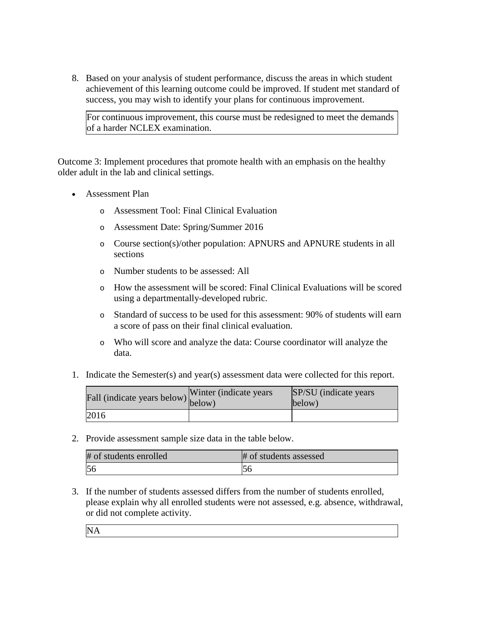8. Based on your analysis of student performance, discuss the areas in which student achievement of this learning outcome could be improved. If student met standard of success, you may wish to identify your plans for continuous improvement.

For continuous improvement, this course must be redesigned to meet the demands of a harder NCLEX examination.

Outcome 3: Implement procedures that promote health with an emphasis on the healthy older adult in the lab and clinical settings.

- Assessment Plan
	- o Assessment Tool: Final Clinical Evaluation
	- o Assessment Date: Spring/Summer 2016
	- o Course section(s)/other population: APNURS and APNURE students in all sections
	- o Number students to be assessed: All
	- o How the assessment will be scored: Final Clinical Evaluations will be scored using a departmentally-developed rubric.
	- o Standard of success to be used for this assessment: 90% of students will earn a score of pass on their final clinical evaluation.
	- o Who will score and analyze the data: Course coordinator will analyze the data.
- 1. Indicate the Semester(s) and year(s) assessment data were collected for this report.

| Fall (indicate years below) below) | Winter (indicate years) | SP/SU (indicate years)<br>below) |
|------------------------------------|-------------------------|----------------------------------|
| 2016                               |                         |                                  |

2. Provide assessment sample size data in the table below.

| # of students enrolled | # of students assessed |
|------------------------|------------------------|
| 56                     |                        |

3. If the number of students assessed differs from the number of students enrolled, please explain why all enrolled students were not assessed, e.g. absence, withdrawal, or did not complete activity.

NA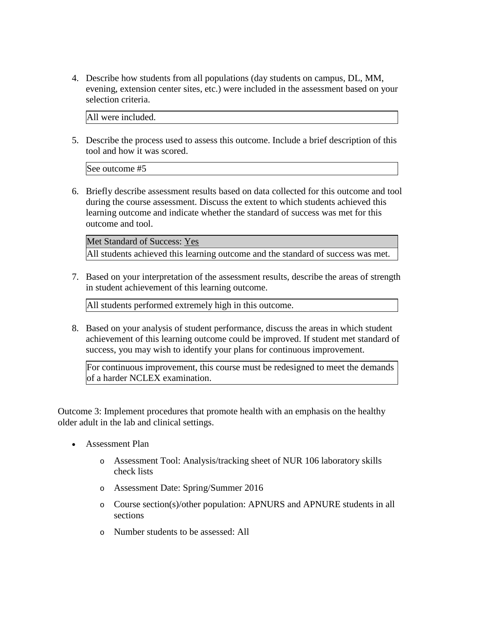4. Describe how students from all populations (day students on campus, DL, MM, evening, extension center sites, etc.) were included in the assessment based on your selection criteria.

All were included.

5. Describe the process used to assess this outcome. Include a brief description of this tool and how it was scored.

See outcome #5

6. Briefly describe assessment results based on data collected for this outcome and tool during the course assessment. Discuss the extent to which students achieved this learning outcome and indicate whether the standard of success was met for this outcome and tool.

Met Standard of Success: Yes All students achieved this learning outcome and the standard of success was met.

7. Based on your interpretation of the assessment results, describe the areas of strength in student achievement of this learning outcome.

All students performed extremely high in this outcome.

8. Based on your analysis of student performance, discuss the areas in which student achievement of this learning outcome could be improved. If student met standard of success, you may wish to identify your plans for continuous improvement.

For continuous improvement, this course must be redesigned to meet the demands of a harder NCLEX examination.

Outcome 3: Implement procedures that promote health with an emphasis on the healthy older adult in the lab and clinical settings.

- Assessment Plan
	- o Assessment Tool: Analysis/tracking sheet of NUR 106 laboratory skills check lists
	- o Assessment Date: Spring/Summer 2016
	- o Course section(s)/other population: APNURS and APNURE students in all sections
	- o Number students to be assessed: All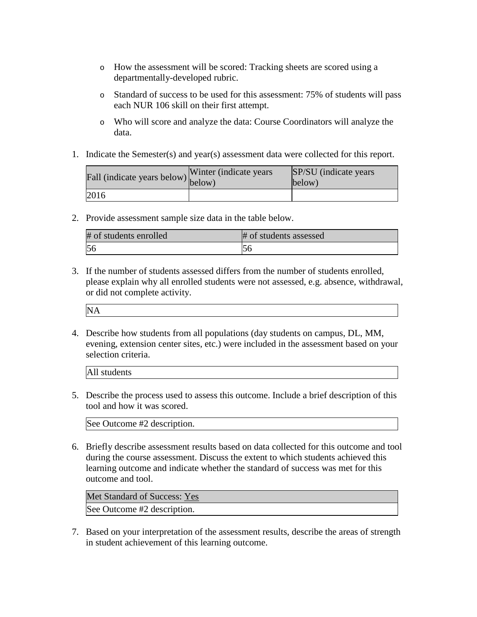- o How the assessment will be scored: Tracking sheets are scored using a departmentally-developed rubric.
- o Standard of success to be used for this assessment: 75% of students will pass each NUR 106 skill on their first attempt.
- o Who will score and analyze the data: Course Coordinators will analyze the data.
- 1. Indicate the Semester(s) and year(s) assessment data were collected for this report.

| Fall (indicate years below) below) | Winter (indicate years) | SP/SU (indicate years)<br>below) |
|------------------------------------|-------------------------|----------------------------------|
| 2016                               |                         |                                  |

2. Provide assessment sample size data in the table below.

| # of students enrolled | # of students assessed |
|------------------------|------------------------|
|                        |                        |

3. If the number of students assessed differs from the number of students enrolled, please explain why all enrolled students were not assessed, e.g. absence, withdrawal, or did not complete activity.

NA

4. Describe how students from all populations (day students on campus, DL, MM, evening, extension center sites, etc.) were included in the assessment based on your selection criteria.

All students

5. Describe the process used to assess this outcome. Include a brief description of this tool and how it was scored.

See Outcome #2 description.

6. Briefly describe assessment results based on data collected for this outcome and tool during the course assessment. Discuss the extent to which students achieved this learning outcome and indicate whether the standard of success was met for this outcome and tool.

Met Standard of Success: Yes

See Outcome #2 description.

7. Based on your interpretation of the assessment results, describe the areas of strength in student achievement of this learning outcome.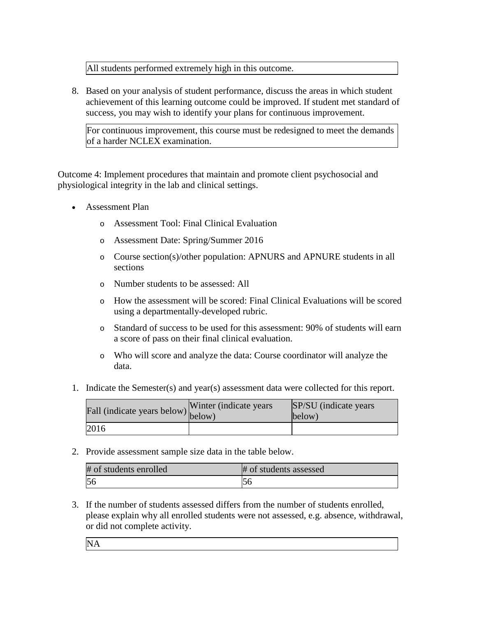All students performed extremely high in this outcome.

8. Based on your analysis of student performance, discuss the areas in which student achievement of this learning outcome could be improved. If student met standard of success, you may wish to identify your plans for continuous improvement.

For continuous improvement, this course must be redesigned to meet the demands of a harder NCLEX examination.

Outcome 4: Implement procedures that maintain and promote client psychosocial and physiological integrity in the lab and clinical settings.

- Assessment Plan
	- o Assessment Tool: Final Clinical Evaluation
	- o Assessment Date: Spring/Summer 2016
	- o Course section(s)/other population: APNURS and APNURE students in all sections
	- o Number students to be assessed: All
	- o How the assessment will be scored: Final Clinical Evaluations will be scored using a departmentally-developed rubric.
	- o Standard of success to be used for this assessment: 90% of students will earn a score of pass on their final clinical evaluation.
	- o Who will score and analyze the data: Course coordinator will analyze the data.
- 1. Indicate the Semester(s) and year(s) assessment data were collected for this report.

| Fall (indicate years below) below) | Winter (indicate years) | SP/SU (indicate years)<br>below) |
|------------------------------------|-------------------------|----------------------------------|
| 2016                               |                         |                                  |

2. Provide assessment sample size data in the table below.

| # of students enrolled | # of students assessed |
|------------------------|------------------------|
| 56                     | IJÜ                    |

3. If the number of students assessed differs from the number of students enrolled, please explain why all enrolled students were not assessed, e.g. absence, withdrawal, or did not complete activity.

NA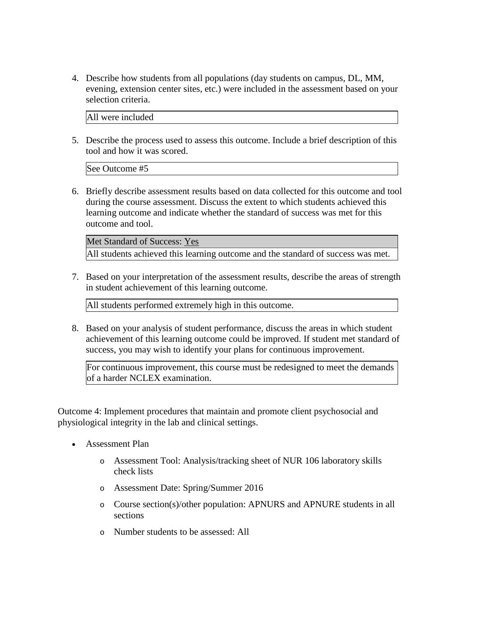4. Describe how students from all populations (day students on campus, DL, MM, evening, extension center sites, etc.) were included in the assessment based on your selection criteria.

All were included

5. Describe the process used to assess this outcome. Include a brief description of this tool and how it was scored.

See Outcome #5

6. Briefly describe assessment results based on data collected for this outcome and tool during the course assessment. Discuss the extent to which students achieved this learning outcome and indicate whether the standard of success was met for this outcome and tool.

Met Standard of Success: Yes All students achieved this learning outcome and the standard of success was met.

7. Based on your interpretation of the assessment results, describe the areas of strength in student achievement of this learning outcome.

All students performed extremely high in this outcome.

8. Based on your analysis of student performance, discuss the areas in which student achievement of this learning outcome could be improved. If student met standard of success, you may wish to identify your plans for continuous improvement.

For continuous improvement, this course must be redesigned to meet the demands of a harder NCLEX examination.

Outcome 4: Implement procedures that maintain and promote client psychosocial and physiological integrity in the lab and clinical settings.

- Assessment Plan
	- o Assessment Tool: Analysis/tracking sheet of NUR 106 laboratory skills check lists
	- o Assessment Date: Spring/Summer 2016
	- o Course section(s)/other population: APNURS and APNURE students in all sections
	- o Number students to be assessed: All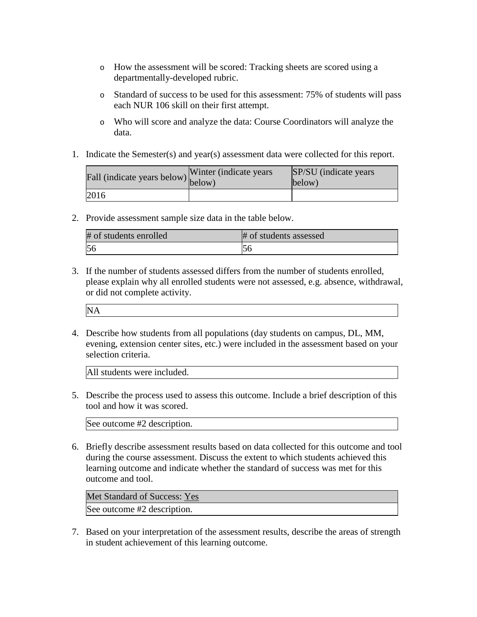- o How the assessment will be scored: Tracking sheets are scored using a departmentally-developed rubric.
- o Standard of success to be used for this assessment: 75% of students will pass each NUR 106 skill on their first attempt.
- o Who will score and analyze the data: Course Coordinators will analyze the data.
- 1. Indicate the Semester(s) and year(s) assessment data were collected for this report.

| Fall (indicate years below) below) | Winter (indicate years) | SP/SU (indicate years)<br>below) |
|------------------------------------|-------------------------|----------------------------------|
| 2016                               |                         |                                  |

2. Provide assessment sample size data in the table below.

| # of students enrolled | # of students assessed |
|------------------------|------------------------|
|                        |                        |

3. If the number of students assessed differs from the number of students enrolled, please explain why all enrolled students were not assessed, e.g. absence, withdrawal, or did not complete activity.

NA

4. Describe how students from all populations (day students on campus, DL, MM, evening, extension center sites, etc.) were included in the assessment based on your selection criteria.

All students were included.

5. Describe the process used to assess this outcome. Include a brief description of this tool and how it was scored.

See outcome #2 description.

6. Briefly describe assessment results based on data collected for this outcome and tool during the course assessment. Discuss the extent to which students achieved this learning outcome and indicate whether the standard of success was met for this outcome and tool.

Met Standard of Success: Yes

See outcome #2 description.

7. Based on your interpretation of the assessment results, describe the areas of strength in student achievement of this learning outcome.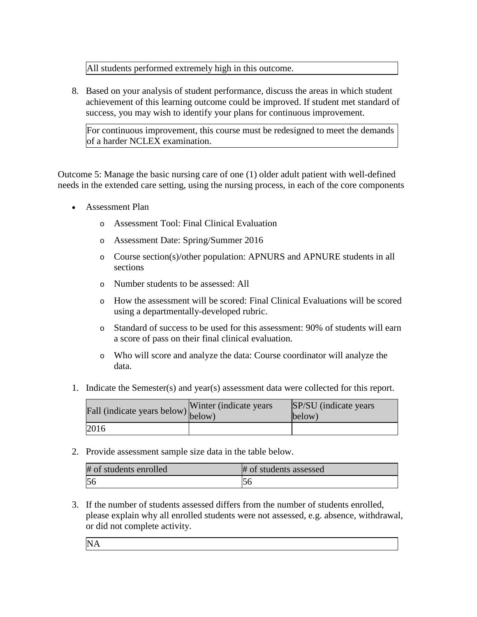All students performed extremely high in this outcome.

8. Based on your analysis of student performance, discuss the areas in which student achievement of this learning outcome could be improved. If student met standard of success, you may wish to identify your plans for continuous improvement.

For continuous improvement, this course must be redesigned to meet the demands of a harder NCLEX examination.

Outcome 5: Manage the basic nursing care of one (1) older adult patient with well-defined needs in the extended care setting, using the nursing process, in each of the core components

- Assessment Plan
	- o Assessment Tool: Final Clinical Evaluation
	- o Assessment Date: Spring/Summer 2016
	- o Course section(s)/other population: APNURS and APNURE students in all sections
	- o Number students to be assessed: All
	- o How the assessment will be scored: Final Clinical Evaluations will be scored using a departmentally-developed rubric.
	- o Standard of success to be used for this assessment: 90% of students will earn a score of pass on their final clinical evaluation.
	- o Who will score and analyze the data: Course coordinator will analyze the data.
- 1. Indicate the Semester(s) and year(s) assessment data were collected for this report.

| Fall (indicate years below) below) | Winter (indicate years) | SP/SU (indicate years)<br>below) |
|------------------------------------|-------------------------|----------------------------------|
| 2016                               |                         |                                  |

2. Provide assessment sample size data in the table below.

| # of students enrolled | # of students assessed |
|------------------------|------------------------|
| 56                     | IJÜ                    |

3. If the number of students assessed differs from the number of students enrolled, please explain why all enrolled students were not assessed, e.g. absence, withdrawal, or did not complete activity.

NA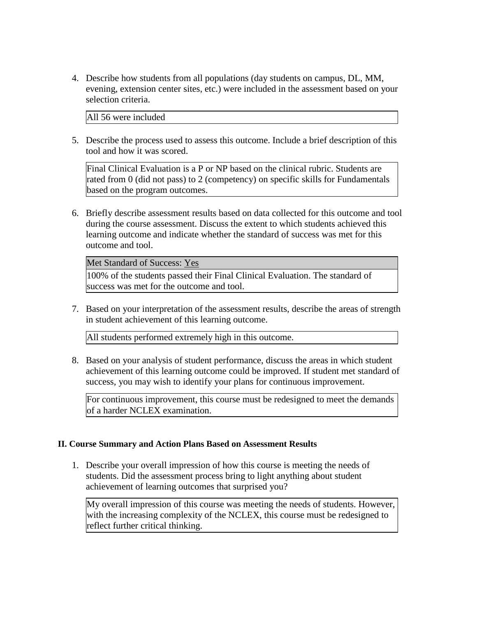4. Describe how students from all populations (day students on campus, DL, MM, evening, extension center sites, etc.) were included in the assessment based on your selection criteria.

All 56 were included

5. Describe the process used to assess this outcome. Include a brief description of this tool and how it was scored.

Final Clinical Evaluation is a P or NP based on the clinical rubric. Students are rated from 0 (did not pass) to 2 (competency) on specific skills for Fundamentals based on the program outcomes.

6. Briefly describe assessment results based on data collected for this outcome and tool during the course assessment. Discuss the extent to which students achieved this learning outcome and indicate whether the standard of success was met for this outcome and tool.

Met Standard of Success: Yes

100% of the students passed their Final Clinical Evaluation. The standard of success was met for the outcome and tool.

7. Based on your interpretation of the assessment results, describe the areas of strength in student achievement of this learning outcome.

All students performed extremely high in this outcome.

8. Based on your analysis of student performance, discuss the areas in which student achievement of this learning outcome could be improved. If student met standard of success, you may wish to identify your plans for continuous improvement.

For continuous improvement, this course must be redesigned to meet the demands of a harder NCLEX examination.

## **II. Course Summary and Action Plans Based on Assessment Results**

1. Describe your overall impression of how this course is meeting the needs of students. Did the assessment process bring to light anything about student achievement of learning outcomes that surprised you?

My overall impression of this course was meeting the needs of students. However, with the increasing complexity of the NCLEX, this course must be redesigned to reflect further critical thinking.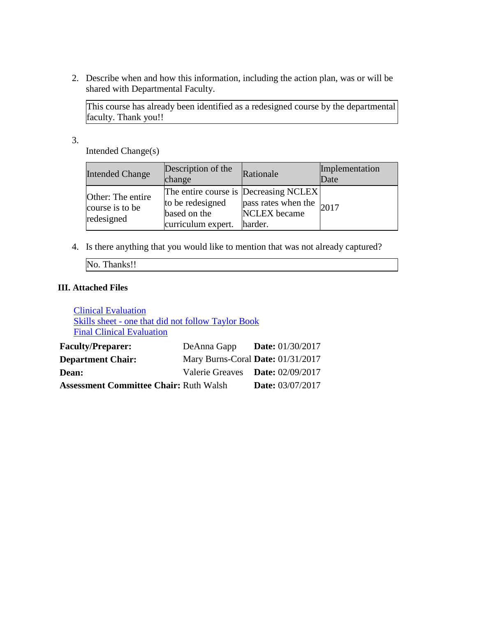2. Describe when and how this information, including the action plan, was or will be shared with Departmental Faculty.

This course has already been identified as a redesigned course by the departmental faculty. Thank you!!

3.

Intended Change(s)

| <b>Intended Change</b> | Description of the<br>change | Rationale                             | Implementation<br>Date |
|------------------------|------------------------------|---------------------------------------|------------------------|
| Other: The entire      | to be redesigned             | The entire course is Decreasing NCLEX |                        |
| course is to be        | based on the                 | pass rates when the $ 2017$           |                        |
| redesigned             | curriculum expert. harder.   | <b>NCLEX</b> became                   |                        |

4. Is there anything that you would like to mention that was not already captured?

No. Thanks!!

## **III. Attached Files**

Clinical Evaluation Skills sheet - one that did not follow Taylor Book Final Clinical Evaluation

| <b>Faculty/Preparer:</b>                      | DeAnna Gapp                       | <b>Date:</b> $01/30/2017$        |
|-----------------------------------------------|-----------------------------------|----------------------------------|
| <b>Department Chair:</b>                      | Mary Burns-Coral Date: 01/31/2017 |                                  |
| Dean:                                         |                                   | Valerie Greaves Date: 02/09/2017 |
| <b>Assessment Committee Chair: Ruth Walsh</b> |                                   | <b>Date:</b> 03/07/2017          |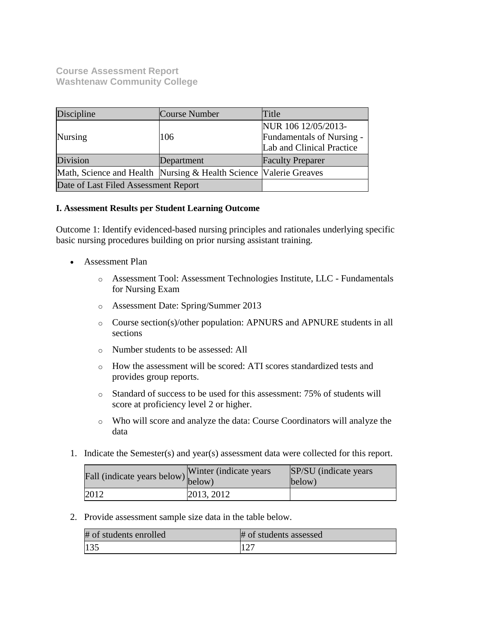**Course Assessment Report Washtenaw Community College**

| Discipline                                                        | Course Number | Title                                                                         |
|-------------------------------------------------------------------|---------------|-------------------------------------------------------------------------------|
| <b>Nursing</b>                                                    | 106           | NUR 106 12/05/2013-<br>Fundamentals of Nursing -<br>Lab and Clinical Practice |
| Division                                                          | Department    | <b>Faculty Preparer</b>                                                       |
| Math, Science and Health Nursing & Health Science Valerie Greaves |               |                                                                               |
| Date of Last Filed Assessment Report                              |               |                                                                               |

#### **I. Assessment Results per Student Learning Outcome**

Outcome 1: Identify evidenced-based nursing principles and rationales underlying specific basic nursing procedures building on prior nursing assistant training.

- Assessment Plan
	- o Assessment Tool: Assessment Technologies Institute, LLC Fundamentals for Nursing Exam
	- o Assessment Date: Spring/Summer 2013
	- o Course section(s)/other population: APNURS and APNURE students in all sections
	- o Number students to be assessed: All
	- o How the assessment will be scored: ATI scores standardized tests and provides group reports.
	- o Standard of success to be used for this assessment: 75% of students will score at proficiency level 2 or higher.
	- o Who will score and analyze the data: Course Coordinators will analyze the data
- 1. Indicate the Semester(s) and year(s) assessment data were collected for this report.

| Fall (indicate years below) below) | Winter (indicate years) | SP/SU (indicate years)<br>below) |
|------------------------------------|-------------------------|----------------------------------|
| 2012                               | 2013, 2012              |                                  |

2. Provide assessment sample size data in the table below.

| # of students enrolled | # of students assessed |
|------------------------|------------------------|
| 135                    |                        |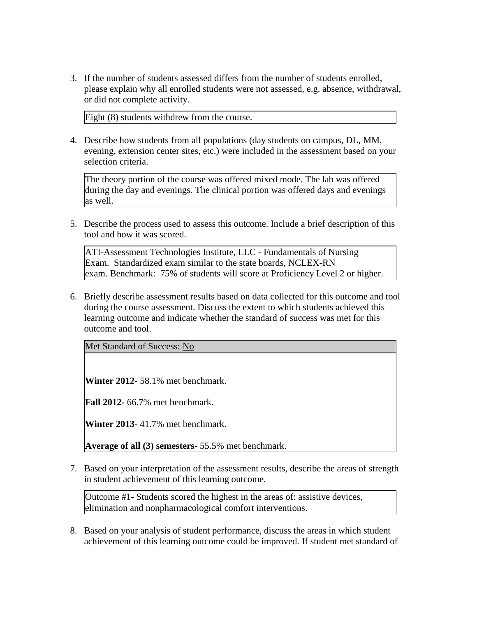3. If the number of students assessed differs from the number of students enrolled, please explain why all enrolled students were not assessed, e.g. absence, withdrawal, or did not complete activity.

Eight (8) students withdrew from the course.

4. Describe how students from all populations (day students on campus, DL, MM, evening, extension center sites, etc.) were included in the assessment based on your selection criteria.

The theory portion of the course was offered mixed mode. The lab was offered during the day and evenings. The clinical portion was offered days and evenings as well.

5. Describe the process used to assess this outcome. Include a brief description of this tool and how it was scored.

ATI-Assessment Technologies Institute, LLC - Fundamentals of Nursing Exam. Standardized exam similar to the state boards, NCLEX-RN exam. Benchmark: 75% of students will score at Proficiency Level 2 or higher.

6. Briefly describe assessment results based on data collected for this outcome and tool during the course assessment. Discuss the extent to which students achieved this learning outcome and indicate whether the standard of success was met for this outcome and tool.

Met Standard of Success: No

**Winter 2012-** 58.1% met benchmark.

**Fall 2012-** 66.7% met benchmark.

**Winter 2013**- 41.7% met benchmark.

**Average of all (3) semesters**- 55.5% met benchmark.

7. Based on your interpretation of the assessment results, describe the areas of strength in student achievement of this learning outcome.

Outcome #1- Students scored the highest in the areas of: assistive devices, elimination and nonpharmacological comfort interventions.

8. Based on your analysis of student performance, discuss the areas in which student achievement of this learning outcome could be improved. If student met standard of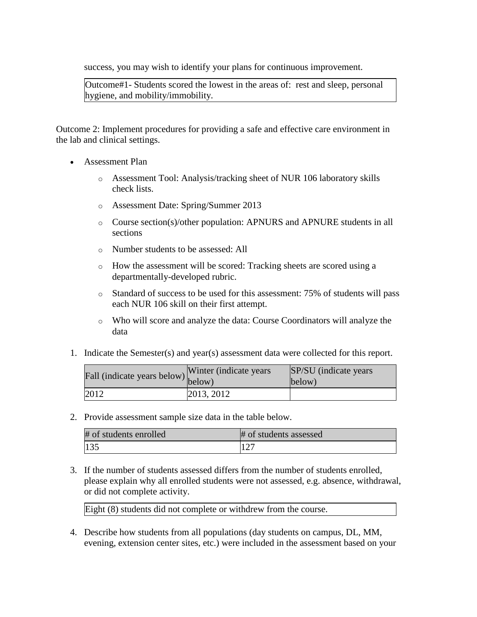success, you may wish to identify your plans for continuous improvement.

Outcome#1- Students scored the lowest in the areas of: rest and sleep, personal hygiene, and mobility/immobility.

Outcome 2: Implement procedures for providing a safe and effective care environment in the lab and clinical settings.

- Assessment Plan
	- o Assessment Tool: Analysis/tracking sheet of NUR 106 laboratory skills check lists.
	- o Assessment Date: Spring/Summer 2013
	- o Course section(s)/other population: APNURS and APNURE students in all sections
	- o Number students to be assessed: All
	- o How the assessment will be scored: Tracking sheets are scored using a departmentally-developed rubric.
	- o Standard of success to be used for this assessment: 75% of students will pass each NUR 106 skill on their first attempt.
	- o Who will score and analyze the data: Course Coordinators will analyze the data
- 1. Indicate the Semester(s) and year(s) assessment data were collected for this report.

| r'all (indicate years below) below) | Winter (indicate years) | SP/SU (indicate years)<br>below) |
|-------------------------------------|-------------------------|----------------------------------|
| 2012                                | 2013, 2012              |                                  |

2. Provide assessment sample size data in the table below.

| # of students enrolled | # of students assessed |
|------------------------|------------------------|
| 135                    |                        |

3. If the number of students assessed differs from the number of students enrolled, please explain why all enrolled students were not assessed, e.g. absence, withdrawal, or did not complete activity.

Eight (8) students did not complete or withdrew from the course.

4. Describe how students from all populations (day students on campus, DL, MM, evening, extension center sites, etc.) were included in the assessment based on your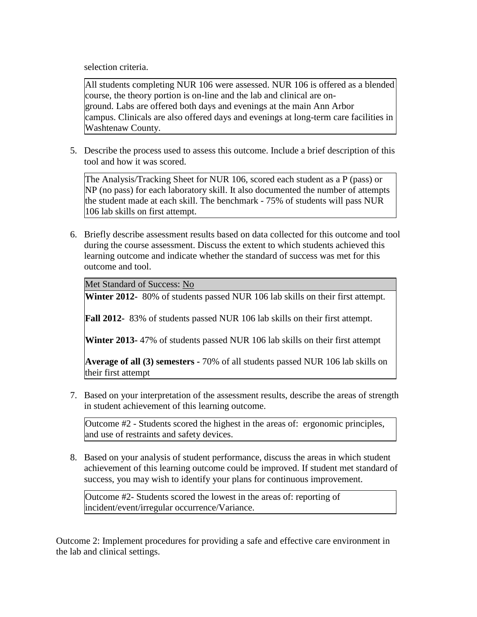selection criteria.

All students completing NUR 106 were assessed. NUR 106 is offered as a blended course, the theory portion is on-line and the lab and clinical are onground. Labs are offered both days and evenings at the main Ann Arbor campus. Clinicals are also offered days and evenings at long-term care facilities in Washtenaw County.

5. Describe the process used to assess this outcome. Include a brief description of this tool and how it was scored.

The Analysis/Tracking Sheet for NUR 106, scored each student as a P (pass) or NP (no pass) for each laboratory skill. It also documented the number of attempts the student made at each skill. The benchmark - 75% of students will pass NUR 106 lab skills on first attempt.

6. Briefly describe assessment results based on data collected for this outcome and tool during the course assessment. Discuss the extent to which students achieved this learning outcome and indicate whether the standard of success was met for this outcome and tool.

Met Standard of Success: No

**Winter 2012-** 80% of students passed NUR 106 lab skills on their first attempt.

**Fall 2012-** 83% of students passed NUR 106 lab skills on their first attempt.

**Winter 2013-** 47% of students passed NUR 106 lab skills on their first attempt

**Average of all (3) semesters -** 70% of all students passed NUR 106 lab skills on their first attempt

7. Based on your interpretation of the assessment results, describe the areas of strength in student achievement of this learning outcome.

Outcome #2 - Students scored the highest in the areas of: ergonomic principles, and use of restraints and safety devices.

8. Based on your analysis of student performance, discuss the areas in which student achievement of this learning outcome could be improved. If student met standard of success, you may wish to identify your plans for continuous improvement.

Outcome #2- Students scored the lowest in the areas of: reporting of incident/event/irregular occurrence/Variance.

Outcome 2: Implement procedures for providing a safe and effective care environment in the lab and clinical settings.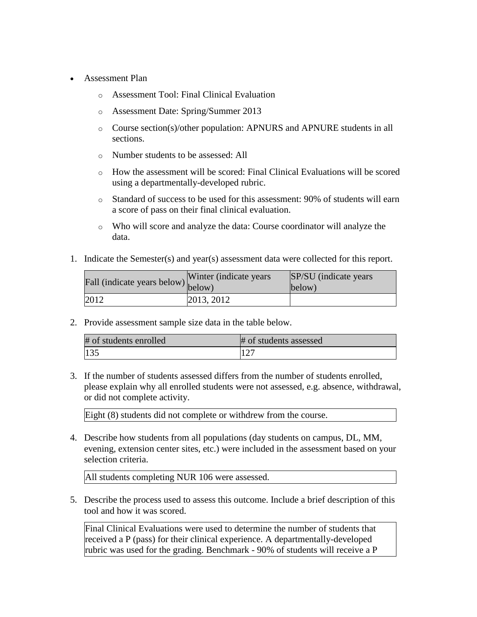- Assessment Plan
	- o Assessment Tool: Final Clinical Evaluation
	- o Assessment Date: Spring/Summer 2013
	- o Course section(s)/other population: APNURS and APNURE students in all sections.
	- o Number students to be assessed: All
	- o How the assessment will be scored: Final Clinical Evaluations will be scored using a departmentally-developed rubric.
	- o Standard of success to be used for this assessment: 90% of students will earn a score of pass on their final clinical evaluation.
	- o Who will score and analyze the data: Course coordinator will analyze the data.
- 1. Indicate the Semester(s) and year(s) assessment data were collected for this report.

| Fall (indicate years below) below) | Winter (indicate years) | SP/SU (indicate years)<br>below) |
|------------------------------------|-------------------------|----------------------------------|
| 2012                               | 2013, 2012              |                                  |

2. Provide assessment sample size data in the table below.

| # of students enrolled | # of students assessed |
|------------------------|------------------------|
| 135                    | 127                    |

3. If the number of students assessed differs from the number of students enrolled, please explain why all enrolled students were not assessed, e.g. absence, withdrawal, or did not complete activity.

Eight (8) students did not complete or withdrew from the course.

4. Describe how students from all populations (day students on campus, DL, MM, evening, extension center sites, etc.) were included in the assessment based on your selection criteria.

All students completing NUR 106 were assessed.

5. Describe the process used to assess this outcome. Include a brief description of this tool and how it was scored.

Final Clinical Evaluations were used to determine the number of students that received a P (pass) for their clinical experience. A departmentally-developed rubric was used for the grading. Benchmark - 90% of students will receive a P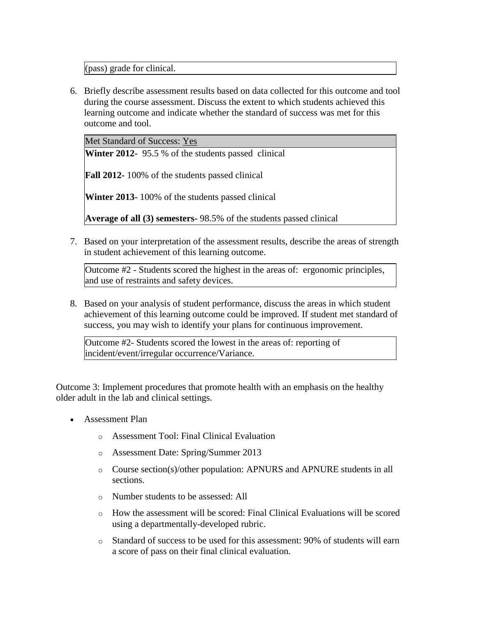(pass) grade for clinical.

6. Briefly describe assessment results based on data collected for this outcome and tool during the course assessment. Discuss the extent to which students achieved this learning outcome and indicate whether the standard of success was met for this outcome and tool.

Met Standard of Success: Yes

**Winter 2012-** 95.5 % of the students passed clinical

**Fall 2012-** 100% of the students passed clinical

**Winter 2013-** 100% of the students passed clinical

**Average of all (3) semesters-** 98.5% of the students passed clinical

7. Based on your interpretation of the assessment results, describe the areas of strength in student achievement of this learning outcome.

Outcome #2 - Students scored the highest in the areas of: ergonomic principles, and use of restraints and safety devices.

8. Based on your analysis of student performance, discuss the areas in which student achievement of this learning outcome could be improved. If student met standard of success, you may wish to identify your plans for continuous improvement.

Outcome #2- Students scored the lowest in the areas of: reporting of incident/event/irregular occurrence/Variance.

Outcome 3: Implement procedures that promote health with an emphasis on the healthy older adult in the lab and clinical settings.

- Assessment Plan
	- o Assessment Tool: Final Clinical Evaluation
	- o Assessment Date: Spring/Summer 2013
	- o Course section(s)/other population: APNURS and APNURE students in all sections.
	- o Number students to be assessed: All
	- o How the assessment will be scored: Final Clinical Evaluations will be scored using a departmentally-developed rubric.
	- o Standard of success to be used for this assessment: 90% of students will earn a score of pass on their final clinical evaluation.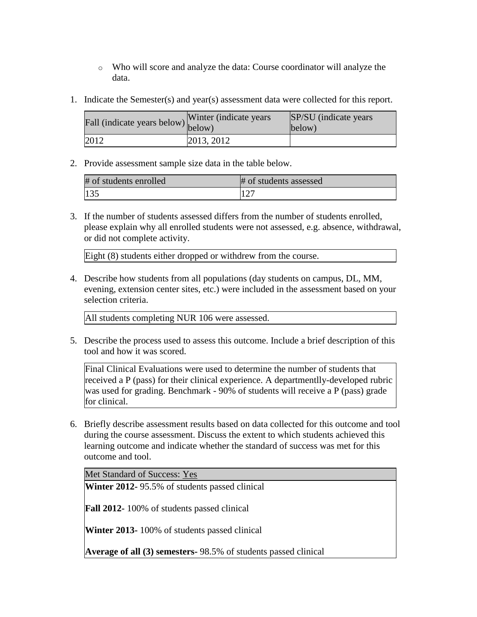- o Who will score and analyze the data: Course coordinator will analyze the data.
- 1. Indicate the Semester(s) and year(s) assessment data were collected for this report.

| Fall (indicate years below) below) | Winter (indicate years) | SP/SU (indicate years)<br>below) |
|------------------------------------|-------------------------|----------------------------------|
| 2012                               | 2013, 2012              |                                  |

2. Provide assessment sample size data in the table below.

| # of students enrolled | # of students assessed |
|------------------------|------------------------|
| 135                    |                        |

3. If the number of students assessed differs from the number of students enrolled, please explain why all enrolled students were not assessed, e.g. absence, withdrawal, or did not complete activity.

Eight (8) students either dropped or withdrew from the course.

4. Describe how students from all populations (day students on campus, DL, MM, evening, extension center sites, etc.) were included in the assessment based on your selection criteria.

All students completing NUR 106 were assessed.

5. Describe the process used to assess this outcome. Include a brief description of this tool and how it was scored.

Final Clinical Evaluations were used to determine the number of students that received a P (pass) for their clinical experience. A departmentlly-developed rubric was used for grading. Benchmark - 90% of students will receive a P (pass) grade for clinical.

6. Briefly describe assessment results based on data collected for this outcome and tool during the course assessment. Discuss the extent to which students achieved this learning outcome and indicate whether the standard of success was met for this outcome and tool.

Met Standard of Success: Yes

**Winter 2012-** 95.5% of students passed clinical

**Fall 2012-** 100% of students passed clinical

**Winter 2013-** 100% of students passed clinical

**Average of all (3) semesters-** 98.5% of students passed clinical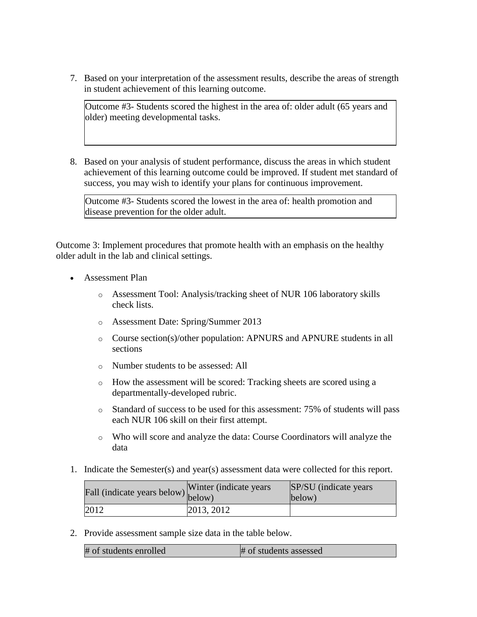7. Based on your interpretation of the assessment results, describe the areas of strength in student achievement of this learning outcome.

Outcome #3- Students scored the highest in the area of: older adult (65 years and older) meeting developmental tasks.

8. Based on your analysis of student performance, discuss the areas in which student achievement of this learning outcome could be improved. If student met standard of success, you may wish to identify your plans for continuous improvement.

Outcome #3- Students scored the lowest in the area of: health promotion and disease prevention for the older adult.

Outcome 3: Implement procedures that promote health with an emphasis on the healthy older adult in the lab and clinical settings.

- Assessment Plan
	- o Assessment Tool: Analysis/tracking sheet of NUR 106 laboratory skills check lists.
	- o Assessment Date: Spring/Summer 2013
	- o Course section(s)/other population: APNURS and APNURE students in all sections
	- o Number students to be assessed: All
	- o How the assessment will be scored: Tracking sheets are scored using a departmentally-developed rubric.
	- o Standard of success to be used for this assessment: 75% of students will pass each NUR 106 skill on their first attempt.
	- o Who will score and analyze the data: Course Coordinators will analyze the data
- 1. Indicate the Semester(s) and year(s) assessment data were collected for this report.

| fall (indicate years below) below) | Winter (indicate years) | SP/SU (indicate years)<br>below) |
|------------------------------------|-------------------------|----------------------------------|
| 2012                               | 2013, 2012              |                                  |

2. Provide assessment sample size data in the table below.

| # of students enrolled | # of students assessed |
|------------------------|------------------------|
|                        |                        |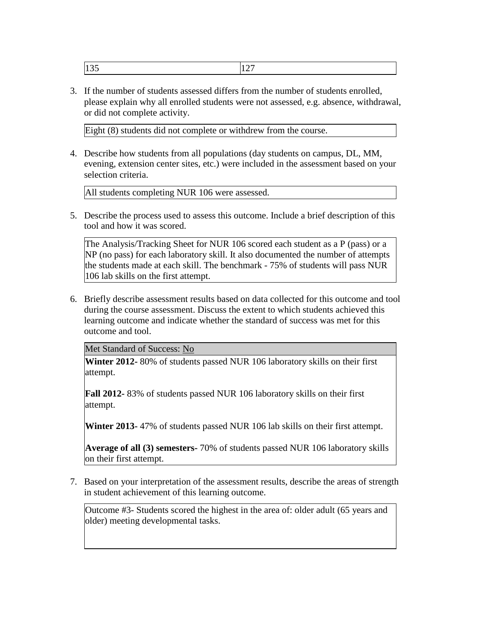|  | - 11<br>1 J J J | -- |
|--|-----------------|----|
|--|-----------------|----|

3. If the number of students assessed differs from the number of students enrolled, please explain why all enrolled students were not assessed, e.g. absence, withdrawal, or did not complete activity.

Eight (8) students did not complete or withdrew from the course.

4. Describe how students from all populations (day students on campus, DL, MM, evening, extension center sites, etc.) were included in the assessment based on your selection criteria.

All students completing NUR 106 were assessed.

5. Describe the process used to assess this outcome. Include a brief description of this tool and how it was scored.

The Analysis/Tracking Sheet for NUR 106 scored each student as a P (pass) or a NP (no pass) for each laboratory skill. It also documented the number of attempts the students made at each skill. The benchmark - 75% of students will pass NUR 106 lab skills on the first attempt.

6. Briefly describe assessment results based on data collected for this outcome and tool during the course assessment. Discuss the extent to which students achieved this learning outcome and indicate whether the standard of success was met for this outcome and tool.

Met Standard of Success: No

**Winter 2012-** 80% of students passed NUR 106 laboratory skills on their first attempt.

**Fall 2012-** 83% of students passed NUR 106 laboratory skills on their first attempt.

**Winter 2013-** 47% of students passed NUR 106 lab skills on their first attempt.

**Average of all (3) semesters-** 70% of students passed NUR 106 laboratory skills on their first attempt.

7. Based on your interpretation of the assessment results, describe the areas of strength in student achievement of this learning outcome.

Outcome #3- Students scored the highest in the area of: older adult (65 years and older) meeting developmental tasks.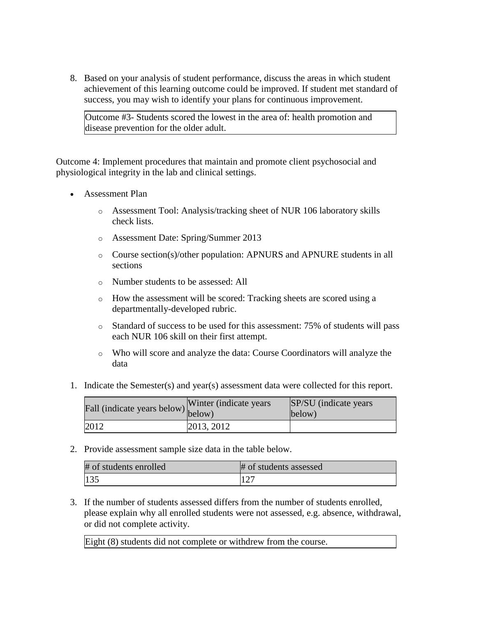8. Based on your analysis of student performance, discuss the areas in which student achievement of this learning outcome could be improved. If student met standard of success, you may wish to identify your plans for continuous improvement.

Outcome #3- Students scored the lowest in the area of: health promotion and disease prevention for the older adult.

Outcome 4: Implement procedures that maintain and promote client psychosocial and physiological integrity in the lab and clinical settings.

- Assessment Plan
	- o Assessment Tool: Analysis/tracking sheet of NUR 106 laboratory skills check lists.
	- o Assessment Date: Spring/Summer 2013
	- o Course section(s)/other population: APNURS and APNURE students in all sections
	- o Number students to be assessed: All
	- o How the assessment will be scored: Tracking sheets are scored using a departmentally-developed rubric.
	- o Standard of success to be used for this assessment: 75% of students will pass each NUR 106 skill on their first attempt.
	- o Who will score and analyze the data: Course Coordinators will analyze the data
- 1. Indicate the Semester(s) and year(s) assessment data were collected for this report.

| Fall (indicate years below) below) | Winter (indicate years) | SP/SU (indicate years)<br>below) |
|------------------------------------|-------------------------|----------------------------------|
| 2012                               | 2013, 2012              |                                  |

2. Provide assessment sample size data in the table below.

| # of students enrolled | # of students assessed |
|------------------------|------------------------|
| 135                    | $1 \wedge \neg$        |

3. If the number of students assessed differs from the number of students enrolled, please explain why all enrolled students were not assessed, e.g. absence, withdrawal, or did not complete activity.

Eight (8) students did not complete or withdrew from the course.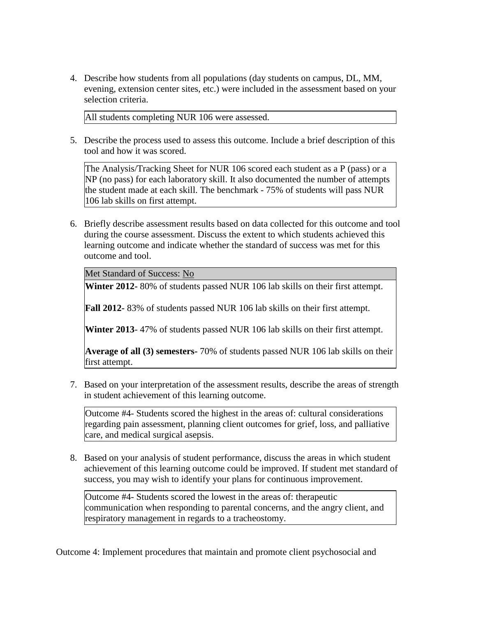4. Describe how students from all populations (day students on campus, DL, MM, evening, extension center sites, etc.) were included in the assessment based on your selection criteria.

All students completing NUR 106 were assessed.

5. Describe the process used to assess this outcome. Include a brief description of this tool and how it was scored.

The Analysis/Tracking Sheet for NUR 106 scored each student as a P (pass) or a NP (no pass) for each laboratory skill. It also documented the number of attempts the student made at each skill. The benchmark - 75% of students will pass NUR 106 lab skills on first attempt.

6. Briefly describe assessment results based on data collected for this outcome and tool during the course assessment. Discuss the extent to which students achieved this learning outcome and indicate whether the standard of success was met for this outcome and tool.

Met Standard of Success: No

**Winter 2012-** 80% of students passed NUR 106 lab skills on their first attempt.

**Fall 2012-** 83% of students passed NUR 106 lab skills on their first attempt.

**Winter 2013**- 47% of students passed NUR 106 lab skills on their first attempt.

**Average of all (3) semesters-** 70% of students passed NUR 106 lab skills on their first attempt.

7. Based on your interpretation of the assessment results, describe the areas of strength in student achievement of this learning outcome.

Outcome #4- Students scored the highest in the areas of: cultural considerations regarding pain assessment, planning client outcomes for grief, loss, and palliative care, and medical surgical asepsis.

8. Based on your analysis of student performance, discuss the areas in which student achievement of this learning outcome could be improved. If student met standard of success, you may wish to identify your plans for continuous improvement.

Outcome #4- Students scored the lowest in the areas of: therapeutic communication when responding to parental concerns, and the angry client, and respiratory management in regards to a tracheostomy.

Outcome 4: Implement procedures that maintain and promote client psychosocial and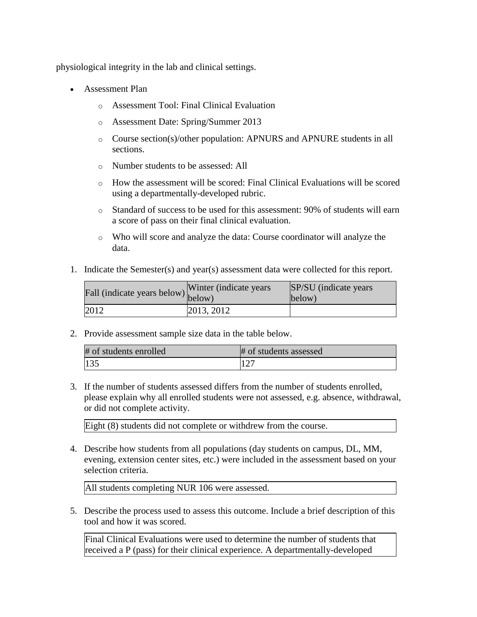physiological integrity in the lab and clinical settings.

- Assessment Plan
	- o Assessment Tool: Final Clinical Evaluation
	- o Assessment Date: Spring/Summer 2013
	- o Course section(s)/other population: APNURS and APNURE students in all sections.
	- o Number students to be assessed: All
	- o How the assessment will be scored: Final Clinical Evaluations will be scored using a departmentally-developed rubric.
	- o Standard of success to be used for this assessment: 90% of students will earn a score of pass on their final clinical evaluation.
	- o Who will score and analyze the data: Course coordinator will analyze the data.
- 1. Indicate the Semester(s) and year(s) assessment data were collected for this report.

| $\hat{F}$ all (indicate years below) below) | Winter (indicate years) | SP/SU (indicate years)<br>below) |
|---------------------------------------------|-------------------------|----------------------------------|
| 2012                                        | 2013, 2012              |                                  |

2. Provide assessment sample size data in the table below.

| # of students enrolled | # of students assessed |
|------------------------|------------------------|
| 135                    | 127                    |

3. If the number of students assessed differs from the number of students enrolled, please explain why all enrolled students were not assessed, e.g. absence, withdrawal, or did not complete activity.

Eight (8) students did not complete or withdrew from the course.

4. Describe how students from all populations (day students on campus, DL, MM, evening, extension center sites, etc.) were included in the assessment based on your selection criteria.

All students completing NUR 106 were assessed.

5. Describe the process used to assess this outcome. Include a brief description of this tool and how it was scored.

Final Clinical Evaluations were used to determine the number of students that received a P (pass) for their clinical experience. A departmentally-developed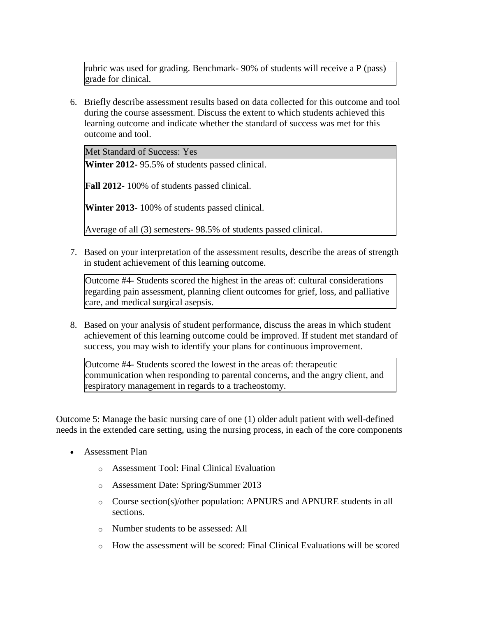rubric was used for grading. Benchmark- 90% of students will receive a P (pass) grade for clinical.

6. Briefly describe assessment results based on data collected for this outcome and tool during the course assessment. Discuss the extent to which students achieved this learning outcome and indicate whether the standard of success was met for this outcome and tool.

Met Standard of Success: Yes

**Winter 2012-** 95.5% of students passed clinical.

**Fall 2012-** 100% of students passed clinical.

**Winter 2013-** 100% of students passed clinical.

Average of all (3) semesters- 98.5% of students passed clinical.

7. Based on your interpretation of the assessment results, describe the areas of strength in student achievement of this learning outcome.

Outcome #4- Students scored the highest in the areas of: cultural considerations regarding pain assessment, planning client outcomes for grief, loss, and palliative care, and medical surgical asepsis.

8. Based on your analysis of student performance, discuss the areas in which student achievement of this learning outcome could be improved. If student met standard of success, you may wish to identify your plans for continuous improvement.

Outcome #4- Students scored the lowest in the areas of: therapeutic communication when responding to parental concerns, and the angry client, and respiratory management in regards to a tracheostomy.

Outcome 5: Manage the basic nursing care of one (1) older adult patient with well-defined needs in the extended care setting, using the nursing process, in each of the core components

- Assessment Plan
	- o Assessment Tool: Final Clinical Evaluation
	- o Assessment Date: Spring/Summer 2013
	- o Course section(s)/other population: APNURS and APNURE students in all sections.
	- o Number students to be assessed: All
	- $\circ$  How the assessment will be scored: Final Clinical Evaluations will be scored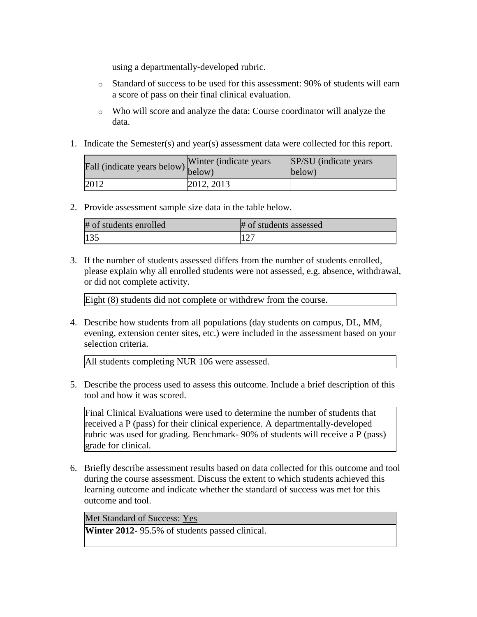using a departmentally-developed rubric.

- o Standard of success to be used for this assessment: 90% of students will earn a score of pass on their final clinical evaluation.
- o Who will score and analyze the data: Course coordinator will analyze the data.
- 1. Indicate the Semester(s) and year(s) assessment data were collected for this report.

| r'all (indicate years below) below) | Winter (indicate years) | SP/SU (indicate years)<br>below) |
|-------------------------------------|-------------------------|----------------------------------|
| 2012                                | 2012, 2013              |                                  |

2. Provide assessment sample size data in the table below.

| # of students enrolled | # of students assessed |
|------------------------|------------------------|
| $\vert$ 135            |                        |

3. If the number of students assessed differs from the number of students enrolled, please explain why all enrolled students were not assessed, e.g. absence, withdrawal, or did not complete activity.

Eight (8) students did not complete or withdrew from the course.

4. Describe how students from all populations (day students on campus, DL, MM, evening, extension center sites, etc.) were included in the assessment based on your selection criteria.

All students completing NUR 106 were assessed.

5. Describe the process used to assess this outcome. Include a brief description of this tool and how it was scored.

Final Clinical Evaluations were used to determine the number of students that received a P (pass) for their clinical experience. A departmentally-developed rubric was used for grading. Benchmark- 90% of students will receive a P (pass) grade for clinical.

6. Briefly describe assessment results based on data collected for this outcome and tool during the course assessment. Discuss the extent to which students achieved this learning outcome and indicate whether the standard of success was met for this outcome and tool.

Met Standard of Success: Yes

**Winter 2012-** 95.5% of students passed clinical.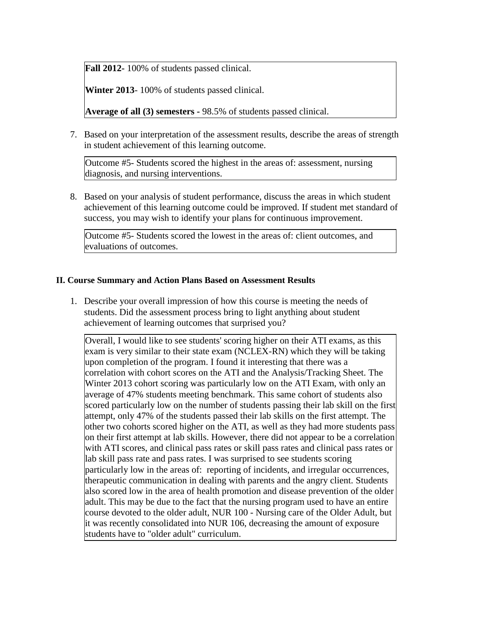**Fall 2012-** 100% of students passed clinical.

**Winter 2013**- 100% of students passed clinical.

**Average of all (3) semesters -** 98.5% of students passed clinical.

7. Based on your interpretation of the assessment results, describe the areas of strength in student achievement of this learning outcome.

Outcome #5- Students scored the highest in the areas of: assessment, nursing diagnosis, and nursing interventions.

8. Based on your analysis of student performance, discuss the areas in which student achievement of this learning outcome could be improved. If student met standard of success, you may wish to identify your plans for continuous improvement.

Outcome #5- Students scored the lowest in the areas of: client outcomes, and evaluations of outcomes.

# **II. Course Summary and Action Plans Based on Assessment Results**

1. Describe your overall impression of how this course is meeting the needs of students. Did the assessment process bring to light anything about student achievement of learning outcomes that surprised you?

Overall, I would like to see students' scoring higher on their ATI exams, as this exam is very similar to their state exam (NCLEX-RN) which they will be taking upon completion of the program. I found it interesting that there was a correlation with cohort scores on the ATI and the Analysis/Tracking Sheet. The Winter 2013 cohort scoring was particularly low on the ATI Exam, with only an average of 47% students meeting benchmark. This same cohort of students also scored particularly low on the number of students passing their lab skill on the first attempt, only 47% of the students passed their lab skills on the first attempt. The other two cohorts scored higher on the ATI, as well as they had more students pass on their first attempt at lab skills. However, there did not appear to be a correlation with ATI scores, and clinical pass rates or skill pass rates and clinical pass rates or lab skill pass rate and pass rates. I was surprised to see students scoring particularly low in the areas of: reporting of incidents, and irregular occurrences, therapeutic communication in dealing with parents and the angry client. Students also scored low in the area of health promotion and disease prevention of the older adult. This may be due to the fact that the nursing program used to have an entire course devoted to the older adult, NUR 100 - Nursing care of the Older Adult, but it was recently consolidated into NUR 106, decreasing the amount of exposure students have to "older adult" curriculum.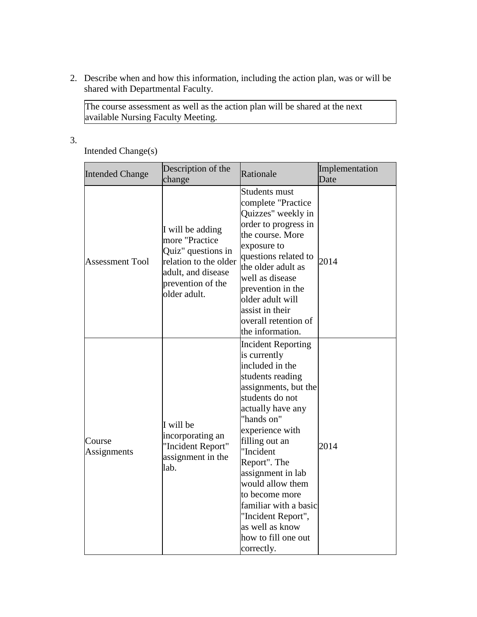2. Describe when and how this information, including the action plan, was or will be shared with Departmental Faculty.

The course assessment as well as the action plan will be shared at the next available Nursing Faculty Meeting.

3.

Intended Change(s)

| <b>Intended Change</b> | Description of the<br>change                                                                                                                 | Rationale                                                                                                                                                                                                                                                                                                                                                                                          | Implementation<br>Date |
|------------------------|----------------------------------------------------------------------------------------------------------------------------------------------|----------------------------------------------------------------------------------------------------------------------------------------------------------------------------------------------------------------------------------------------------------------------------------------------------------------------------------------------------------------------------------------------------|------------------------|
| <b>Assessment Tool</b> | I will be adding<br>more "Practice<br>Quiz" questions in<br>relation to the older<br>adult, and disease<br>prevention of the<br>older adult. | <b>Students must</b><br>complete "Practice<br>Quizzes" weekly in<br>order to progress in<br>the course. More<br>exposure to<br>questions related to<br>the older adult as<br>well as disease<br>prevention in the<br>older adult will<br>assist in their<br>overall retention of<br>the information.                                                                                               | 2014                   |
| Course<br>Assignments  | I will be<br>incorporating an<br>"Incident Report"<br>assignment in the<br>lab.                                                              | <b>Incident Reporting</b><br>is currently<br>included in the<br>students reading<br>assignments, but the<br>students do not<br>actually have any<br>"hands on"<br>experience with<br>filling out an<br>"Incident<br>Report". The<br>assignment in lab<br>would allow them<br>to become more<br>familiar with a basic<br>"Incident Report",<br>as well as know<br>how to fill one out<br>correctly. | 2014                   |